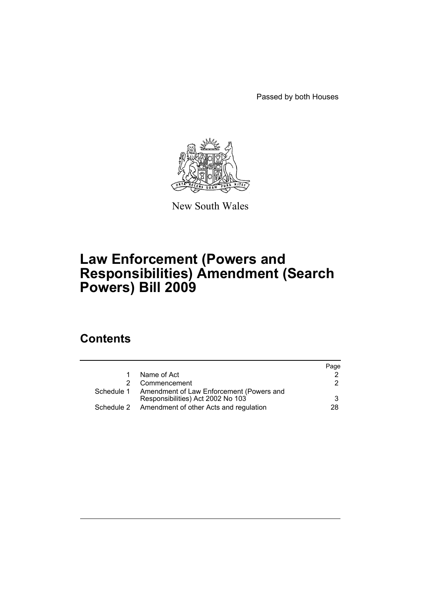Passed by both Houses



New South Wales

# **Law Enforcement (Powers and Responsibilities) Amendment (Search Powers) Bill 2009**

# **Contents**

|  |                                                     | Page |
|--|-----------------------------------------------------|------|
|  | Name of Act                                         |      |
|  | Commencement                                        | 2    |
|  | Schedule 1 Amendment of Law Enforcement (Powers and |      |
|  | Responsibilities) Act 2002 No 103                   | 3    |
|  | Schedule 2 Amendment of other Acts and regulation   | 28   |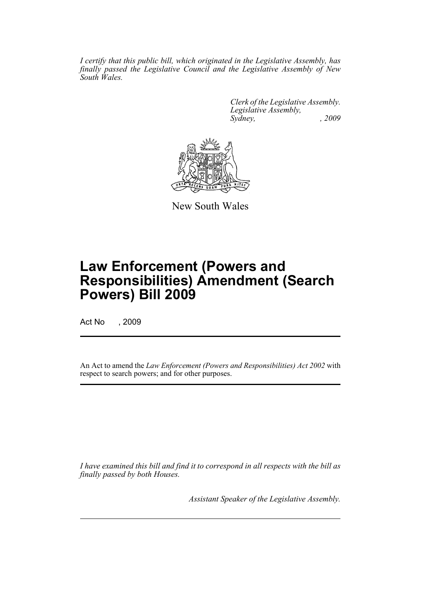*I certify that this public bill, which originated in the Legislative Assembly, has finally passed the Legislative Council and the Legislative Assembly of New South Wales.*

> *Clerk of the Legislative Assembly. Legislative Assembly, Sydney, , 2009*



New South Wales

# **Law Enforcement (Powers and Responsibilities) Amendment (Search Powers) Bill 2009**

Act No , 2009

An Act to amend the *Law Enforcement (Powers and Responsibilities) Act 2002* with respect to search powers; and for other purposes.

*I have examined this bill and find it to correspond in all respects with the bill as finally passed by both Houses.*

*Assistant Speaker of the Legislative Assembly.*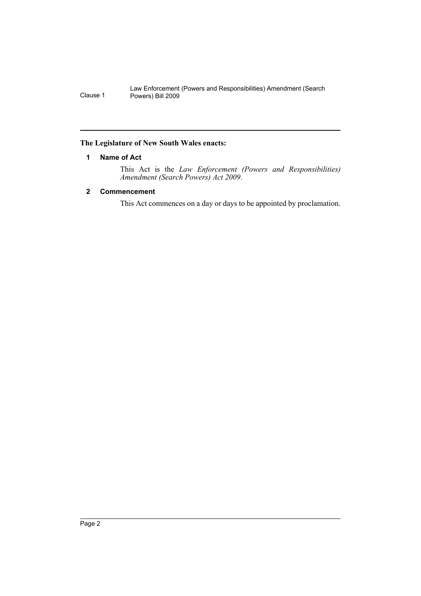# <span id="page-2-0"></span>**The Legislature of New South Wales enacts:**

### **1 Name of Act**

This Act is the *Law Enforcement (Powers and Responsibilities) Amendment (Search Powers) Act 2009*.

# <span id="page-2-1"></span>**2 Commencement**

This Act commences on a day or days to be appointed by proclamation.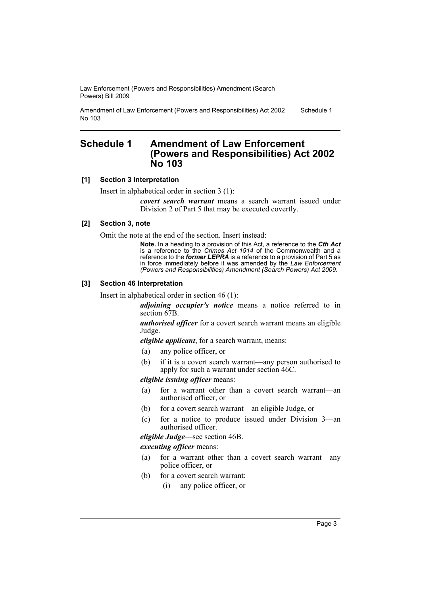Amendment of Law Enforcement (Powers and Responsibilities) Act 2002 No 103 Schedule 1

# <span id="page-3-0"></span>**Schedule 1 Amendment of Law Enforcement (Powers and Responsibilities) Act 2002 No 103**

### **[1] Section 3 Interpretation**

Insert in alphabetical order in section 3 (1):

*covert search warrant* means a search warrant issued under Division 2 of Part 5 that may be executed covertly.

### **[2] Section 3, note**

Omit the note at the end of the section. Insert instead:

**Note.** In a heading to a provision of this Act, a reference to the *Cth Act* is a reference to the *Crimes Act 1914* of the Commonwealth and a reference to the *former LEPRA* is a reference to a provision of Part 5 as in force immediately before it was amended by the *Law Enforcement (Powers and Responsibilities) Amendment (Search Powers) Act 2009*.

### **[3] Section 46 Interpretation**

Insert in alphabetical order in section 46 (1):

*adjoining occupier's notice* means a notice referred to in section 67B.

*authorised officer* for a covert search warrant means an eligible Judge.

*eligible applicant*, for a search warrant, means:

- (a) any police officer, or
- (b) if it is a covert search warrant—any person authorised to apply for such a warrant under section 46C.

*eligible issuing officer* means:

- (a) for a warrant other than a covert search warrant—an authorised officer, or
- (b) for a covert search warrant—an eligible Judge, or
- (c) for a notice to produce issued under Division 3—an authorised officer.

*eligible Judge*—see section 46B.

#### *executing officer* means:

- (a) for a warrant other than a covert search warrant—any police officer, or
- (b) for a covert search warrant:
	- (i) any police officer, or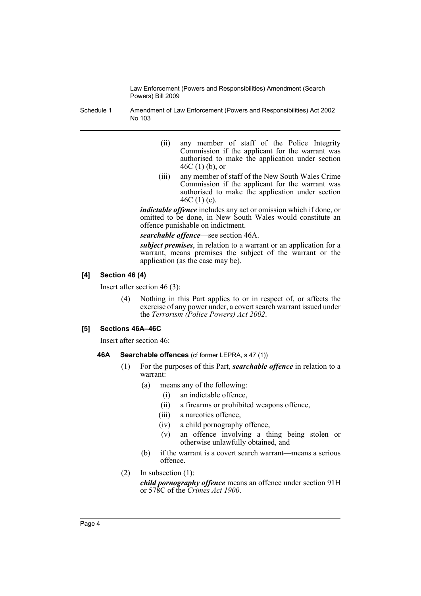Schedule 1 Amendment of Law Enforcement (Powers and Responsibilities) Act 2002 No 103

- (ii) any member of staff of the Police Integrity Commission if the applicant for the warrant was authorised to make the application under section 46C (1) (b), or
- (iii) any member of staff of the New South Wales Crime Commission if the applicant for the warrant was authorised to make the application under section 46C (1) (c).

*indictable offence* includes any act or omission which if done, or omitted to be done, in New South Wales would constitute an offence punishable on indictment.

*searchable offence*—see section 46A.

*subject premises*, in relation to a warrant or an application for a warrant, means premises the subject of the warrant or the application (as the case may be).

# **[4] Section 46 (4)**

Insert after section 46 (3):

(4) Nothing in this Part applies to or in respect of, or affects the exercise of any power under, a covert search warrant issued under the *Terrorism (Police Powers) Act 2002*.

# **[5] Sections 46A–46C**

Insert after section 46:

# **46A Searchable offences** (cf former LEPRA, s 47 (1))

- (1) For the purposes of this Part, *searchable offence* in relation to a warrant:
	- (a) means any of the following:
		- (i) an indictable offence,
			- (ii) a firearms or prohibited weapons offence,
			- (iii) a narcotics offence,
			- (iv) a child pornography offence,
			- (v) an offence involving a thing being stolen or otherwise unlawfully obtained, and
	- (b) if the warrant is a covert search warrant—means a serious offence.
- (2) In subsection (1):

*child pornography offence* means an offence under section 91H or 578C of the *Crimes Act 1900*.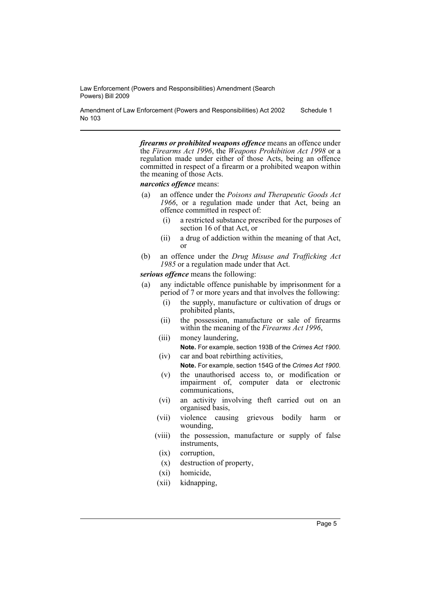Amendment of Law Enforcement (Powers and Responsibilities) Act 2002 No 103 Schedule 1

> *firearms or prohibited weapons offence* means an offence under the *Firearms Act 1996*, the *Weapons Prohibition Act 1998* or a regulation made under either of those Acts, being an offence committed in respect of a firearm or a prohibited weapon within the meaning of those Acts.

*narcotics offence* means:

- (a) an offence under the *Poisons and Therapeutic Goods Act 1966*, or a regulation made under that Act, being an offence committed in respect of:
	- (i) a restricted substance prescribed for the purposes of section 16 of that Act, or
	- (ii) a drug of addiction within the meaning of that Act, or
- (b) an offence under the *Drug Misuse and Trafficking Act 1985* or a regulation made under that Act.

*serious offence* means the following:

- (a) any indictable offence punishable by imprisonment for a period of 7 or more years and that involves the following:
	- (i) the supply, manufacture or cultivation of drugs or prohibited plants,
	- (ii) the possession, manufacture or sale of firearms within the meaning of the *Firearms Act 1996*,
	- (iii) money laundering, **Note.** For example, section 193B of the *Crimes Act 1900*.
	- (iv) car and boat rebirthing activities,

**Note.** For example, section 154G of the *Crimes Act 1900*.

- (v) the unauthorised access to, or modification or impairment of, computer data or electronic communications,
- (vi) an activity involving theft carried out on an organised basis,
- (vii) violence causing grievous bodily harm or wounding,
- (viii) the possession, manufacture or supply of false instruments,
- (ix) corruption,
- (x) destruction of property,
- (xi) homicide,
- (xii) kidnapping,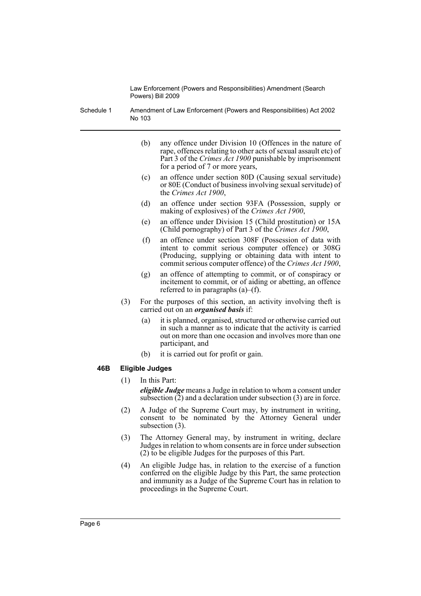Schedule 1 Amendment of Law Enforcement (Powers and Responsibilities) Act 2002 No 103

- (b) any offence under Division 10 (Offences in the nature of rape, offences relating to other acts of sexual assault etc) of Part 3 of the *Crimes Act 1900* punishable by imprisonment for a period of 7 or more years,
- (c) an offence under section 80D (Causing sexual servitude) or 80E (Conduct of business involving sexual servitude) of the *Crimes Act 1900*,
- (d) an offence under section 93FA (Possession, supply or making of explosives) of the *Crimes Act 1900*,
- (e) an offence under Division 15 (Child prostitution) or 15A (Child pornography) of Part 3 of the *Crimes Act 1900*,
- (f) an offence under section 308F (Possession of data with intent to commit serious computer offence) or 308G (Producing, supplying or obtaining data with intent to commit serious computer offence) of the *Crimes Act 1900*,
- (g) an offence of attempting to commit, or of conspiracy or incitement to commit, or of aiding or abetting, an offence referred to in paragraphs (a)–(f).
- (3) For the purposes of this section, an activity involving theft is carried out on an *organised basis* if:
	- (a) it is planned, organised, structured or otherwise carried out in such a manner as to indicate that the activity is carried out on more than one occasion and involves more than one participant, and
	- (b) it is carried out for profit or gain.

# **46B Eligible Judges**

(1) In this Part:

*eligible Judge* means a Judge in relation to whom a consent under subsection  $(2)$  and a declaration under subsection  $(3)$  are in force.

- (2) A Judge of the Supreme Court may, by instrument in writing, consent to be nominated by the Attorney General under subsection (3).
- (3) The Attorney General may, by instrument in writing, declare Judges in relation to whom consents are in force under subsection (2) to be eligible Judges for the purposes of this Part.
- (4) An eligible Judge has, in relation to the exercise of a function conferred on the eligible Judge by this Part, the same protection and immunity as a Judge of the Supreme Court has in relation to proceedings in the Supreme Court.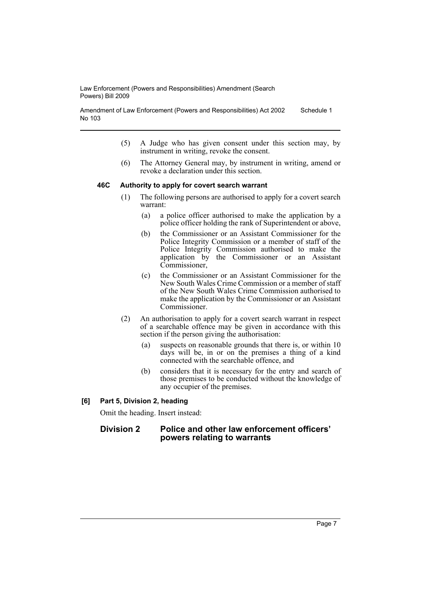Amendment of Law Enforcement (Powers and Responsibilities) Act 2002 No 103 Schedule 1

- (5) A Judge who has given consent under this section may, by instrument in writing, revoke the consent.
- (6) The Attorney General may, by instrument in writing, amend or revoke a declaration under this section.

#### **46C Authority to apply for covert search warrant**

- (1) The following persons are authorised to apply for a covert search warrant:
	- (a) a police officer authorised to make the application by a police officer holding the rank of Superintendent or above,
	- (b) the Commissioner or an Assistant Commissioner for the Police Integrity Commission or a member of staff of the Police Integrity Commission authorised to make the application by the Commissioner or an Assistant Commissioner,
	- (c) the Commissioner or an Assistant Commissioner for the New South Wales Crime Commission or a member of staff of the New South Wales Crime Commission authorised to make the application by the Commissioner or an Assistant Commissioner.
- (2) An authorisation to apply for a covert search warrant in respect of a searchable offence may be given in accordance with this section if the person giving the authorisation:
	- (a) suspects on reasonable grounds that there is, or within 10 days will be, in or on the premises a thing of a kind connected with the searchable offence, and
	- (b) considers that it is necessary for the entry and search of those premises to be conducted without the knowledge of any occupier of the premises.

### **[6] Part 5, Division 2, heading**

Omit the heading. Insert instead:

# **Division 2 Police and other law enforcement officers' powers relating to warrants**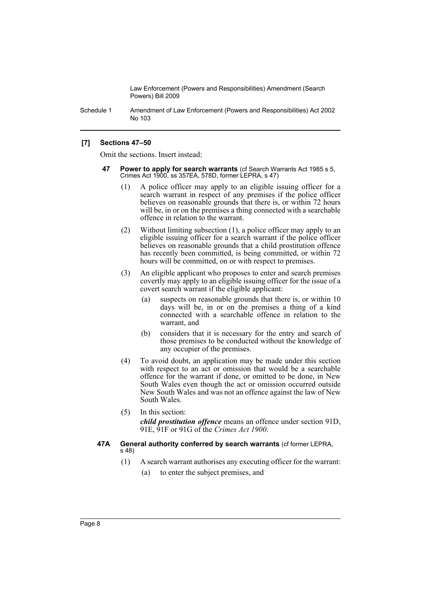Schedule 1 Amendment of Law Enforcement (Powers and Responsibilities) Act 2002 No 103

# **[7] Sections 47–50**

Omit the sections. Insert instead:

- **47 Power to apply for search warrants** (cf Search Warrants Act 1985 s 5, Crimes Act 1900, ss 357EA, 578D, former LEPRA, s 47)
	- (1) A police officer may apply to an eligible issuing officer for a search warrant in respect of any premises if the police officer believes on reasonable grounds that there is, or within 72 hours will be, in or on the premises a thing connected with a searchable offence in relation to the warrant.
	- (2) Without limiting subsection (1), a police officer may apply to an eligible issuing officer for a search warrant if the police officer believes on reasonable grounds that a child prostitution offence has recently been committed, is being committed, or within 72 hours will be committed, on or with respect to premises.
	- (3) An eligible applicant who proposes to enter and search premises covertly may apply to an eligible issuing officer for the issue of a covert search warrant if the eligible applicant:
		- (a) suspects on reasonable grounds that there is, or within 10 days will be, in or on the premises a thing of a kind connected with a searchable offence in relation to the warrant, and
		- (b) considers that it is necessary for the entry and search of those premises to be conducted without the knowledge of any occupier of the premises.
	- (4) To avoid doubt, an application may be made under this section with respect to an act or omission that would be a searchable offence for the warrant if done, or omitted to be done, in New South Wales even though the act or omission occurred outside New South Wales and was not an offence against the law of New South Wales.
	- (5) In this section:

*child prostitution offence* means an offence under section 91D, 91E, 91F or 91G of the *Crimes Act 1900*.

### **47A General authority conferred by search warrants** (cf former LEPRA, s 48)

- (1) A search warrant authorises any executing officer for the warrant:
	- (a) to enter the subject premises, and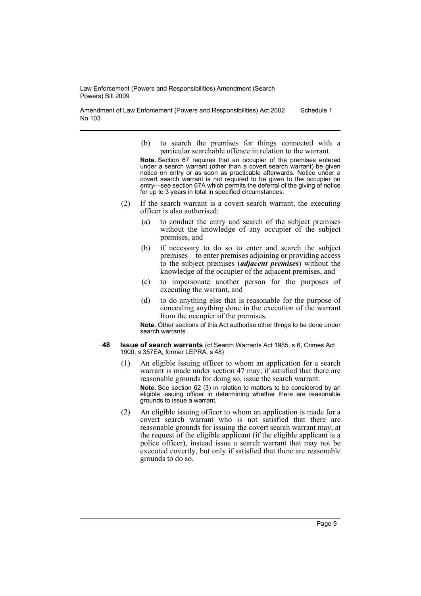Amendment of Law Enforcement (Powers and Responsibilities) Act 2002 No 103 Schedule 1

> (b) to search the premises for things connected with a particular searchable offence in relation to the warrant.

> **Note.** Section 67 requires that an occupier of the premises entered under a search warrant (other than a covert search warrant) be given notice on entry or as soon as practicable afterwards. Notice under a covert search warrant is not required to be given to the occupier on entry—see section 67A which permits the deferral of the giving of notice for up to 3 years in total in specified circumstances.

- (2) If the search warrant is a covert search warrant, the executing officer is also authorised:
	- (a) to conduct the entry and search of the subject premises without the knowledge of any occupier of the subject premises, and
	- (b) if necessary to do so to enter and search the subject premises—to enter premises adjoining or providing access to the subject premises (*adjacent premises*) without the knowledge of the occupier of the adjacent premises, and
	- (c) to impersonate another person for the purposes of executing the warrant, and
	- (d) to do anything else that is reasonable for the purpose of concealing anything done in the execution of the warrant from the occupier of the premises.

**Note.** Other sections of this Act authorise other things to be done under search warrants.

- **48 Issue of search warrants** (cf Search Warrants Act 1985, s 6, Crimes Act 1900, s 357EA, former LEPRA, s 48)
	- (1) An eligible issuing officer to whom an application for a search warrant is made under section 47 may, if satisfied that there are reasonable grounds for doing so, issue the search warrant. **Note.** See section 62 (3) in relation to matters to be considered by an eligible issuing officer in determining whether there are reasonable grounds to issue a warrant.
	- (2) An eligible issuing officer to whom an application is made for a covert search warrant who is not satisfied that there are reasonable grounds for issuing the covert search warrant may, at the request of the eligible applicant (if the eligible applicant is a police officer), instead issue a search warrant that may not be executed covertly, but only if satisfied that there are reasonable grounds to do so.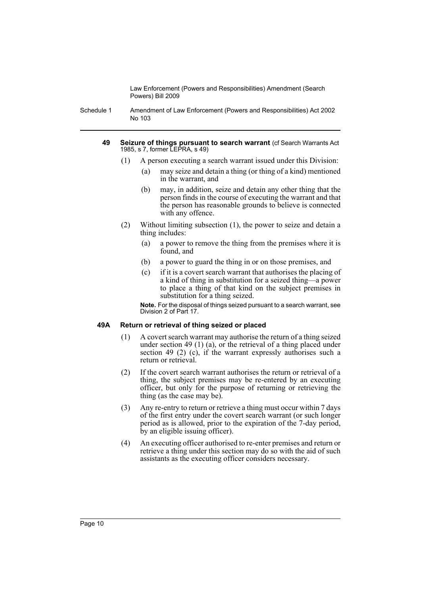Schedule 1 Amendment of Law Enforcement (Powers and Responsibilities) Act 2002 No 103

#### **49 Seizure of things pursuant to search warrant** (cf Search Warrants Act 1985, s 7, former LEPRA, s 49)

- (1) A person executing a search warrant issued under this Division:
	- (a) may seize and detain a thing (or thing of a kind) mentioned in the warrant, and
	- (b) may, in addition, seize and detain any other thing that the person finds in the course of executing the warrant and that the person has reasonable grounds to believe is connected with any offence.
- (2) Without limiting subsection (1), the power to seize and detain a thing includes:
	- (a) a power to remove the thing from the premises where it is found, and
	- (b) a power to guard the thing in or on those premises, and
	- (c) if it is a covert search warrant that authorises the placing of a kind of thing in substitution for a seized thing—a power to place a thing of that kind on the subject premises in substitution for a thing seized.

**Note.** For the disposal of things seized pursuant to a search warrant, see Division 2 of Part 17.

# **49A Return or retrieval of thing seized or placed**

- (1) A covert search warrant may authorise the return of a thing seized under section 49 (1) (a), or the retrieval of a thing placed under section 49 (2) (c), if the warrant expressly authorises such a return or retrieval.
- (2) If the covert search warrant authorises the return or retrieval of a thing, the subject premises may be re-entered by an executing officer, but only for the purpose of returning or retrieving the thing (as the case may be).
- (3) Any re-entry to return or retrieve a thing must occur within 7 days of the first entry under the covert search warrant (or such longer period as is allowed, prior to the expiration of the 7-day period, by an eligible issuing officer).
- (4) An executing officer authorised to re-enter premises and return or retrieve a thing under this section may do so with the aid of such assistants as the executing officer considers necessary.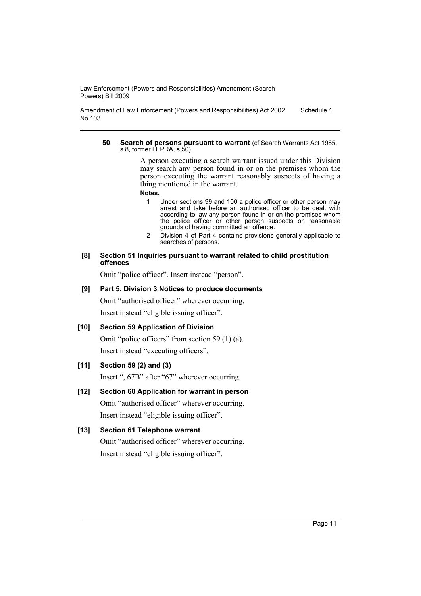Amendment of Law Enforcement (Powers and Responsibilities) Act 2002 No 103 Schedule 1

#### **50 Search of persons pursuant to warrant** (cf Search Warrants Act 1985, s 8, former LEPRA, s 50)

A person executing a search warrant issued under this Division may search any person found in or on the premises whom the person executing the warrant reasonably suspects of having a thing mentioned in the warrant.

**Notes.**

- 1 Under sections 99 and 100 a police officer or other person may arrest and take before an authorised officer to be dealt with according to law any person found in or on the premises whom the police officer or other person suspects on reasonable grounds of having committed an offence.
- 2 Division 4 of Part 4 contains provisions generally applicable to searches of persons.

### **[8] Section 51 Inquiries pursuant to warrant related to child prostitution offences**

Omit "police officer". Insert instead "person".

# **[9] Part 5, Division 3 Notices to produce documents**

Omit "authorised officer" wherever occurring. Insert instead "eligible issuing officer".

# **[10] Section 59 Application of Division**

Omit "police officers" from section 59 (1) (a). Insert instead "executing officers".

# **[11] Section 59 (2) and (3)**

Insert ", 67B" after "67" wherever occurring.

# **[12] Section 60 Application for warrant in person**

Omit "authorised officer" wherever occurring. Insert instead "eligible issuing officer".

# **[13] Section 61 Telephone warrant**

Omit "authorised officer" wherever occurring. Insert instead "eligible issuing officer".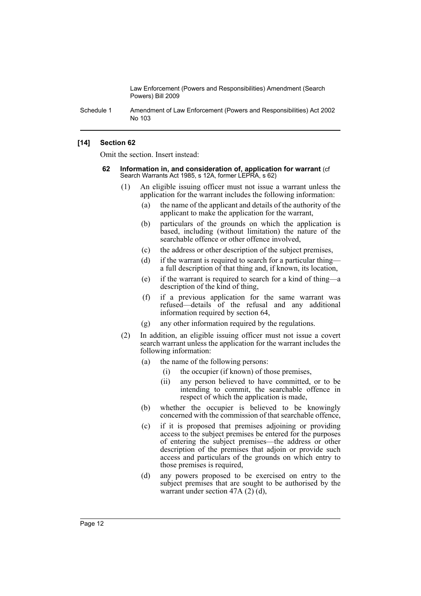Schedule 1 Amendment of Law Enforcement (Powers and Responsibilities) Act 2002 No 103

# **[14] Section 62**

Omit the section. Insert instead:

- **62 Information in, and consideration of, application for warrant** (cf Search Warrants Act 1985, s 12A, former LEPRA, s 62)
	- (1) An eligible issuing officer must not issue a warrant unless the application for the warrant includes the following information:
		- (a) the name of the applicant and details of the authority of the applicant to make the application for the warrant,
		- (b) particulars of the grounds on which the application is based, including (without limitation) the nature of the searchable offence or other offence involved.
		- (c) the address or other description of the subject premises,
		- (d) if the warrant is required to search for a particular thing a full description of that thing and, if known, its location,
		- (e) if the warrant is required to search for a kind of thing—a description of the kind of thing,
		- (f) if a previous application for the same warrant was refused—details of the refusal and any additional information required by section 64,
		- (g) any other information required by the regulations.
	- (2) In addition, an eligible issuing officer must not issue a covert search warrant unless the application for the warrant includes the following information:
		- (a) the name of the following persons:
			- (i) the occupier (if known) of those premises,
			- (ii) any person believed to have committed, or to be intending to commit, the searchable offence in respect of which the application is made,
		- (b) whether the occupier is believed to be knowingly concerned with the commission of that searchable offence,
		- (c) if it is proposed that premises adjoining or providing access to the subject premises be entered for the purposes of entering the subject premises—the address or other description of the premises that adjoin or provide such access and particulars of the grounds on which entry to those premises is required,
		- (d) any powers proposed to be exercised on entry to the subject premises that are sought to be authorised by the warrant under section 47A (2) (d),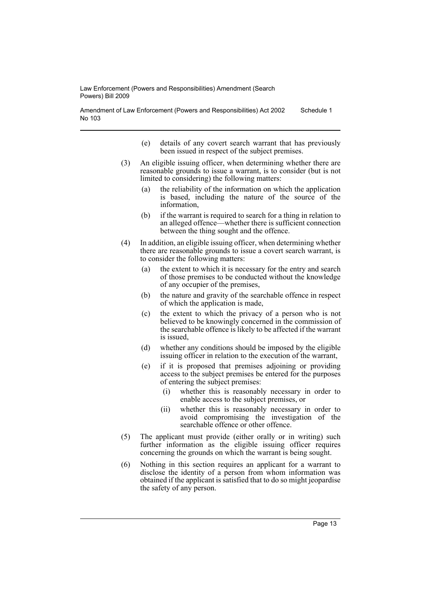Amendment of Law Enforcement (Powers and Responsibilities) Act 2002 No 103 Schedule 1

- (e) details of any covert search warrant that has previously been issued in respect of the subject premises.
- (3) An eligible issuing officer, when determining whether there are reasonable grounds to issue a warrant, is to consider (but is not limited to considering) the following matters:
	- (a) the reliability of the information on which the application is based, including the nature of the source of the information,
	- (b) if the warrant is required to search for a thing in relation to an alleged offence—whether there is sufficient connection between the thing sought and the offence.
- (4) In addition, an eligible issuing officer, when determining whether there are reasonable grounds to issue a covert search warrant, is to consider the following matters:
	- (a) the extent to which it is necessary for the entry and search of those premises to be conducted without the knowledge of any occupier of the premises,
	- (b) the nature and gravity of the searchable offence in respect of which the application is made,
	- (c) the extent to which the privacy of a person who is not believed to be knowingly concerned in the commission of the searchable offence is likely to be affected if the warrant is issued,
	- (d) whether any conditions should be imposed by the eligible issuing officer in relation to the execution of the warrant,
	- (e) if it is proposed that premises adjoining or providing access to the subject premises be entered for the purposes of entering the subject premises:
		- (i) whether this is reasonably necessary in order to enable access to the subject premises, or
		- (ii) whether this is reasonably necessary in order to avoid compromising the investigation of the searchable offence or other offence.
- (5) The applicant must provide (either orally or in writing) such further information as the eligible issuing officer requires concerning the grounds on which the warrant is being sought.
- (6) Nothing in this section requires an applicant for a warrant to disclose the identity of a person from whom information was obtained if the applicant is satisfied that to do so might jeopardise the safety of any person.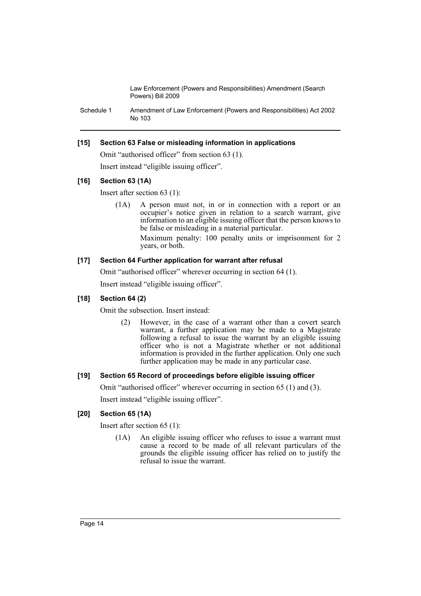Schedule 1 Amendment of Law Enforcement (Powers and Responsibilities) Act 2002 No 103

# **[15] Section 63 False or misleading information in applications**

Omit "authorised officer" from section 63 (1). Insert instead "eligible issuing officer".

# **[16] Section 63 (1A)**

Insert after section 63 (1):

(1A) A person must not, in or in connection with a report or an occupier's notice given in relation to a search warrant, give information to an eligible issuing officer that the person knows to be false or misleading in a material particular. Maximum penalty: 100 penalty units or imprisonment for 2 years, or both.

# **[17] Section 64 Further application for warrant after refusal**

Omit "authorised officer" wherever occurring in section 64 (1). Insert instead "eligible issuing officer".

# **[18] Section 64 (2)**

Omit the subsection. Insert instead:

(2) However, in the case of a warrant other than a covert search warrant, a further application may be made to a Magistrate following a refusal to issue the warrant by an eligible issuing officer who is not a Magistrate whether or not additional information is provided in the further application. Only one such further application may be made in any particular case.

# **[19] Section 65 Record of proceedings before eligible issuing officer**

Omit "authorised officer" wherever occurring in section 65 (1) and (3).

Insert instead "eligible issuing officer".

# **[20] Section 65 (1A)**

Insert after section 65 (1):

(1A) An eligible issuing officer who refuses to issue a warrant must cause a record to be made of all relevant particulars of the grounds the eligible issuing officer has relied on to justify the refusal to issue the warrant.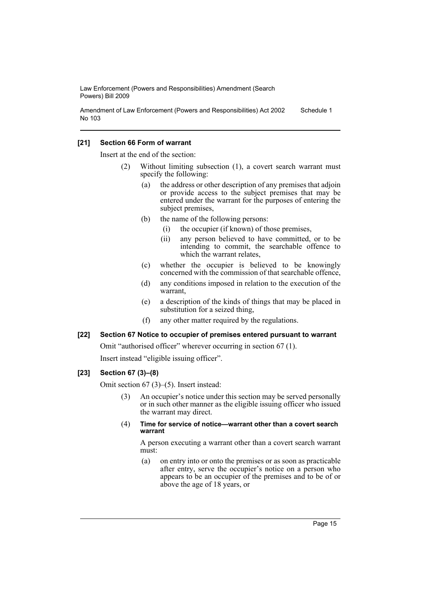Amendment of Law Enforcement (Powers and Responsibilities) Act 2002 No 103 Schedule 1

### **[21] Section 66 Form of warrant**

Insert at the end of the section:

- (2) Without limiting subsection (1), a covert search warrant must specify the following:
	- (a) the address or other description of any premises that adjoin or provide access to the subject premises that may be entered under the warrant for the purposes of entering the subject premises,
	- (b) the name of the following persons:
		- (i) the occupier (if known) of those premises,
		- (ii) any person believed to have committed, or to be intending to commit, the searchable offence to which the warrant relates.
	- (c) whether the occupier is believed to be knowingly concerned with the commission of that searchable offence,
	- (d) any conditions imposed in relation to the execution of the warrant,
	- (e) a description of the kinds of things that may be placed in substitution for a seized thing,
	- (f) any other matter required by the regulations.

### **[22] Section 67 Notice to occupier of premises entered pursuant to warrant**

Omit "authorised officer" wherever occurring in section 67 (1). Insert instead "eligible issuing officer".

# **[23] Section 67 (3)–(8)**

Omit section 67 (3)–(5). Insert instead:

- (3) An occupier's notice under this section may be served personally or in such other manner as the eligible issuing officer who issued the warrant may direct.
- (4) **Time for service of notice—warrant other than a covert search warrant**

A person executing a warrant other than a covert search warrant must:

(a) on entry into or onto the premises or as soon as practicable after entry, serve the occupier's notice on a person who appears to be an occupier of the premises and to be of or above the age of 18 years, or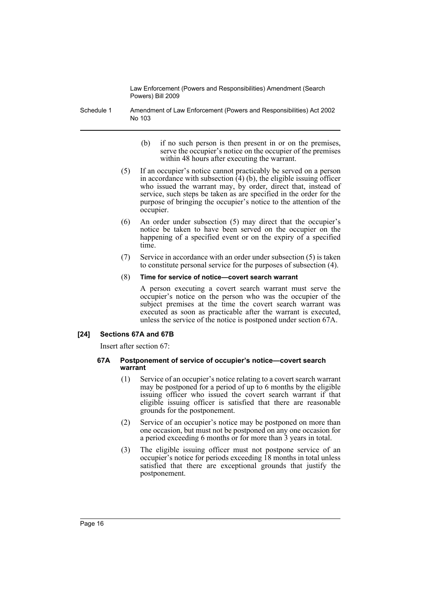Schedule 1 Amendment of Law Enforcement (Powers and Responsibilities) Act 2002 No 103

- (b) if no such person is then present in or on the premises, serve the occupier's notice on the occupier of the premises within 48 hours after executing the warrant.
- (5) If an occupier's notice cannot practicably be served on a person in accordance with subsection  $(4)$  (b), the eligible issuing officer who issued the warrant may, by order, direct that, instead of service, such steps be taken as are specified in the order for the purpose of bringing the occupier's notice to the attention of the occupier.
- (6) An order under subsection (5) may direct that the occupier's notice be taken to have been served on the occupier on the happening of a specified event or on the expiry of a specified time.
- (7) Service in accordance with an order under subsection (5) is taken to constitute personal service for the purposes of subsection (4).

### (8) **Time for service of notice—covert search warrant**

A person executing a covert search warrant must serve the occupier's notice on the person who was the occupier of the subject premises at the time the covert search warrant was executed as soon as practicable after the warrant is executed, unless the service of the notice is postponed under section 67A.

# **[24] Sections 67A and 67B**

Insert after section 67:

### **67A Postponement of service of occupier's notice—covert search warrant**

- (1) Service of an occupier's notice relating to a covert search warrant may be postponed for a period of up to 6 months by the eligible issuing officer who issued the covert search warrant if that eligible issuing officer is satisfied that there are reasonable grounds for the postponement.
- (2) Service of an occupier's notice may be postponed on more than one occasion, but must not be postponed on any one occasion for a period exceeding 6 months or for more than 3 years in total.
- (3) The eligible issuing officer must not postpone service of an occupier's notice for periods exceeding 18 months in total unless satisfied that there are exceptional grounds that justify the postponement.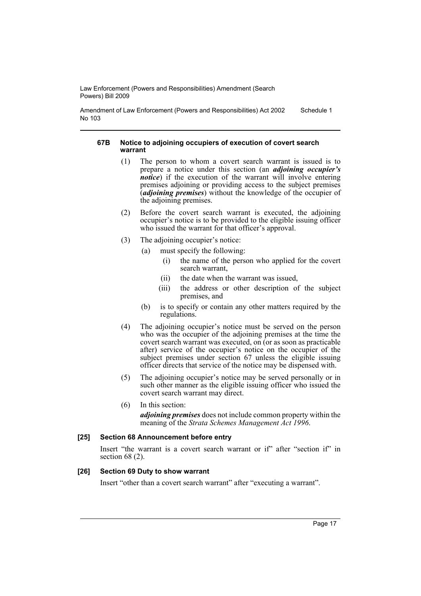Amendment of Law Enforcement (Powers and Responsibilities) Act 2002 No 103 Schedule 1

### **67B Notice to adjoining occupiers of execution of covert search warrant**

- (1) The person to whom a covert search warrant is issued is to prepare a notice under this section (an *adjoining occupier's notice*) if the execution of the warrant will involve entering premises adjoining or providing access to the subject premises (*adjoining premises*) without the knowledge of the occupier of the adjoining premises.
- (2) Before the covert search warrant is executed, the adjoining occupier's notice is to be provided to the eligible issuing officer who issued the warrant for that officer's approval.
- (3) The adjoining occupier's notice:
	- (a) must specify the following:
		- (i) the name of the person who applied for the covert search warrant,
		- (ii) the date when the warrant was issued,
		- (iii) the address or other description of the subject premises, and
	- (b) is to specify or contain any other matters required by the regulations.
- (4) The adjoining occupier's notice must be served on the person who was the occupier of the adjoining premises at the time the covert search warrant was executed, on (or as soon as practicable after) service of the occupier's notice on the occupier of the subject premises under section 67 unless the eligible issuing officer directs that service of the notice may be dispensed with.
- (5) The adjoining occupier's notice may be served personally or in such other manner as the eligible issuing officer who issued the covert search warrant may direct.
- (6) In this section:

*adjoining premises* does not include common property within the meaning of the *Strata Schemes Management Act 1996*.

### **[25] Section 68 Announcement before entry**

Insert "the warrant is a covert search warrant or if" after "section if" in section 68 $(2)$ .

# **[26] Section 69 Duty to show warrant**

Insert "other than a covert search warrant" after "executing a warrant".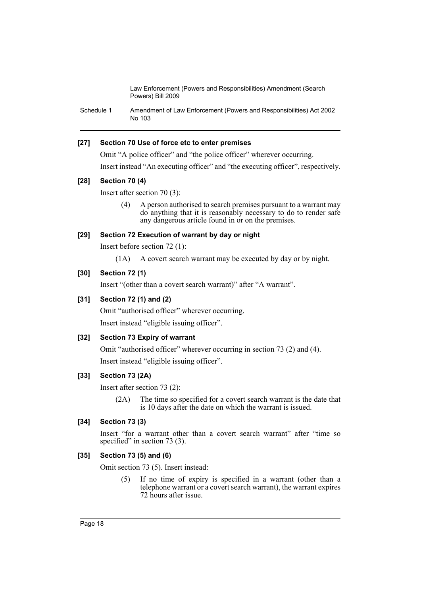Schedule 1 Amendment of Law Enforcement (Powers and Responsibilities) Act 2002 No 103

# **[27] Section 70 Use of force etc to enter premises**

Omit "A police officer" and "the police officer" wherever occurring.

Insert instead "An executing officer" and "the executing officer", respectively.

# **[28] Section 70 (4)**

Insert after section 70 (3):

(4) A person authorised to search premises pursuant to a warrant may do anything that it is reasonably necessary to do to render safe any dangerous article found in or on the premises.

# **[29] Section 72 Execution of warrant by day or night**

Insert before section 72 (1):

(1A) A covert search warrant may be executed by day or by night.

# **[30] Section 72 (1)**

Insert "(other than a covert search warrant)" after "A warrant".

# **[31] Section 72 (1) and (2)**

Omit "authorised officer" wherever occurring. Insert instead "eligible issuing officer".

# **[32] Section 73 Expiry of warrant**

Omit "authorised officer" wherever occurring in section 73 (2) and (4). Insert instead "eligible issuing officer".

# **[33] Section 73 (2A)**

Insert after section 73 (2):

(2A) The time so specified for a covert search warrant is the date that is 10 days after the date on which the warrant is issued.

# **[34] Section 73 (3)**

Insert "for a warrant other than a covert search warrant" after "time so specified" in section 73 (3).

# **[35] Section 73 (5) and (6)**

Omit section 73 (5). Insert instead:

(5) If no time of expiry is specified in a warrant (other than a telephone warrant or a covert search warrant), the warrant expires 72 hours after issue.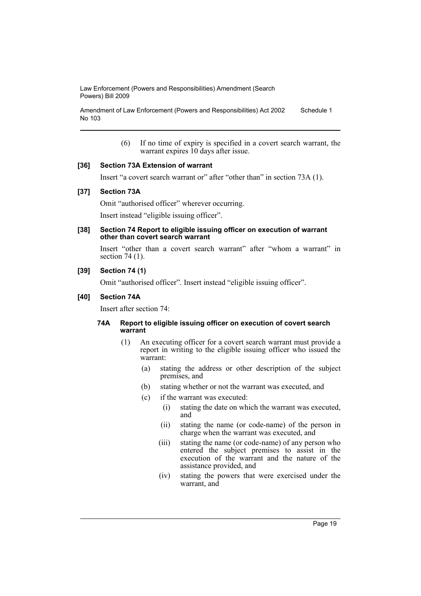Amendment of Law Enforcement (Powers and Responsibilities) Act 2002 No 103 Schedule 1

> (6) If no time of expiry is specified in a covert search warrant, the warrant expires 10 days after issue.

### **[36] Section 73A Extension of warrant**

Insert "a covert search warrant or" after "other than" in section 73A (1).

### **[37] Section 73A**

Omit "authorised officer" wherever occurring.

Insert instead "eligible issuing officer".

#### **[38] Section 74 Report to eligible issuing officer on execution of warrant other than covert search warrant**

Insert "other than a covert search warrant" after "whom a warrant" in section 74 (1).

### **[39] Section 74 (1)**

Omit "authorised officer". Insert instead "eligible issuing officer".

### **[40] Section 74A**

Insert after section 74:

### **74A Report to eligible issuing officer on execution of covert search warrant**

- (1) An executing officer for a covert search warrant must provide a report in writing to the eligible issuing officer who issued the warrant:
	- (a) stating the address or other description of the subject premises, and
	- (b) stating whether or not the warrant was executed, and
	- (c) if the warrant was executed:
		- (i) stating the date on which the warrant was executed, and
		- (ii) stating the name (or code-name) of the person in charge when the warrant was executed, and
		- (iii) stating the name (or code-name) of any person who entered the subject premises to assist in the execution of the warrant and the nature of the assistance provided, and
		- (iv) stating the powers that were exercised under the warrant, and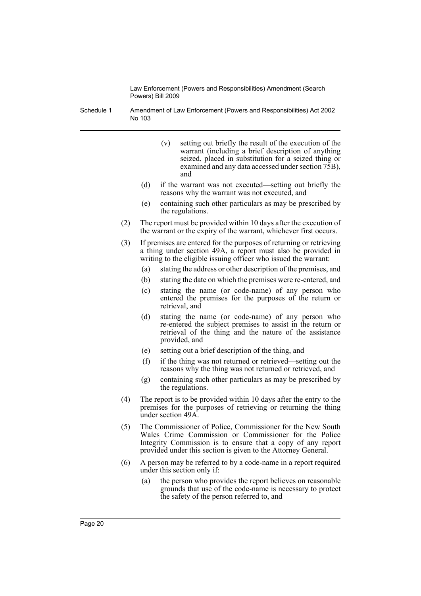Schedule 1 Amendment of Law Enforcement (Powers and Responsibilities) Act 2002 No 103

- (v) setting out briefly the result of the execution of the warrant (including a brief description of anything seized, placed in substitution for a seized thing or examined and any data accessed under section 75B), and
- (d) if the warrant was not executed—setting out briefly the reasons why the warrant was not executed, and
- (e) containing such other particulars as may be prescribed by the regulations.
- (2) The report must be provided within 10 days after the execution of the warrant or the expiry of the warrant, whichever first occurs.
- (3) If premises are entered for the purposes of returning or retrieving a thing under section 49A, a report must also be provided in writing to the eligible issuing officer who issued the warrant:
	- (a) stating the address or other description of the premises, and
	- (b) stating the date on which the premises were re-entered, and
	- (c) stating the name (or code-name) of any person who entered the premises for the purposes of the return or retrieval, and
	- (d) stating the name (or code-name) of any person who re-entered the subject premises to assist in the return or retrieval of the thing and the nature of the assistance provided, and
	- (e) setting out a brief description of the thing, and
	- (f) if the thing was not returned or retrieved—setting out the reasons why the thing was not returned or retrieved, and
	- (g) containing such other particulars as may be prescribed by the regulations.
- (4) The report is to be provided within 10 days after the entry to the premises for the purposes of retrieving or returning the thing under section 49A.
- (5) The Commissioner of Police, Commissioner for the New South Wales Crime Commission or Commissioner for the Police Integrity Commission is to ensure that a copy of any report provided under this section is given to the Attorney General.
- (6) A person may be referred to by a code-name in a report required under this section only if:
	- (a) the person who provides the report believes on reasonable grounds that use of the code-name is necessary to protect the safety of the person referred to, and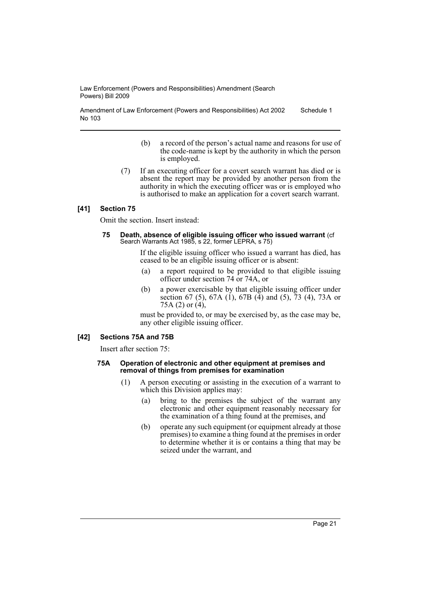Amendment of Law Enforcement (Powers and Responsibilities) Act 2002 No 103 Schedule 1

- (b) a record of the person's actual name and reasons for use of the code-name is kept by the authority in which the person is employed.
- (7) If an executing officer for a covert search warrant has died or is absent the report may be provided by another person from the authority in which the executing officer was or is employed who is authorised to make an application for a covert search warrant.

# **[41] Section 75**

Omit the section. Insert instead:

**75 Death, absence of eligible issuing officer who issued warrant** (cf Search Warrants Act 1985, s 22, former LEPRA, s 75)

> If the eligible issuing officer who issued a warrant has died, has ceased to be an eligible issuing officer or is absent:

- (a) a report required to be provided to that eligible issuing officer under section 74 or 74A, or
- (b) a power exercisable by that eligible issuing officer under section 67 (5), 67A (1), 67B (4) and (5), 73 (4), 73A or 75A (2) or  $(4)$ ,

must be provided to, or may be exercised by, as the case may be, any other eligible issuing officer.

### **[42] Sections 75A and 75B**

Insert after section 75:

#### **75A Operation of electronic and other equipment at premises and removal of things from premises for examination**

- (1) A person executing or assisting in the execution of a warrant to which this Division applies may:
	- (a) bring to the premises the subject of the warrant any electronic and other equipment reasonably necessary for the examination of a thing found at the premises, and
	- (b) operate any such equipment (or equipment already at those premises) to examine a thing found at the premises in order to determine whether it is or contains a thing that may be seized under the warrant, and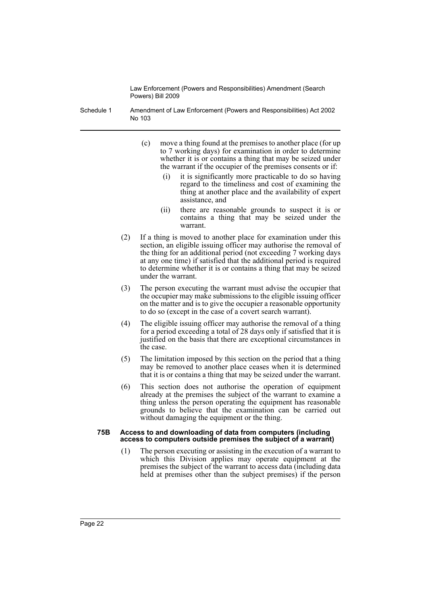- Schedule 1 Amendment of Law Enforcement (Powers and Responsibilities) Act 2002 No 103
	- (c) move a thing found at the premises to another place (for up to 7 working days) for examination in order to determine whether it is or contains a thing that may be seized under the warrant if the occupier of the premises consents or if:
		- (i) it is significantly more practicable to do so having regard to the timeliness and cost of examining the thing at another place and the availability of expert assistance, and
		- (ii) there are reasonable grounds to suspect it is or contains a thing that may be seized under the warrant.
	- (2) If a thing is moved to another place for examination under this section, an eligible issuing officer may authorise the removal of the thing for an additional period (not exceeding 7 working days at any one time) if satisfied that the additional period is required to determine whether it is or contains a thing that may be seized under the warrant.
	- (3) The person executing the warrant must advise the occupier that the occupier may make submissions to the eligible issuing officer on the matter and is to give the occupier a reasonable opportunity to do so (except in the case of a covert search warrant).
	- (4) The eligible issuing officer may authorise the removal of a thing for a period exceeding a total of 28 days only if satisfied that it is justified on the basis that there are exceptional circumstances in the case.
	- (5) The limitation imposed by this section on the period that a thing may be removed to another place ceases when it is determined that it is or contains a thing that may be seized under the warrant.
	- (6) This section does not authorise the operation of equipment already at the premises the subject of the warrant to examine a thing unless the person operating the equipment has reasonable grounds to believe that the examination can be carried out without damaging the equipment or the thing.

#### **75B Access to and downloading of data from computers (including access to computers outside premises the subject of a warrant)**

(1) The person executing or assisting in the execution of a warrant to which this Division applies may operate equipment at the premises the subject of the warrant to access data (including data held at premises other than the subject premises) if the person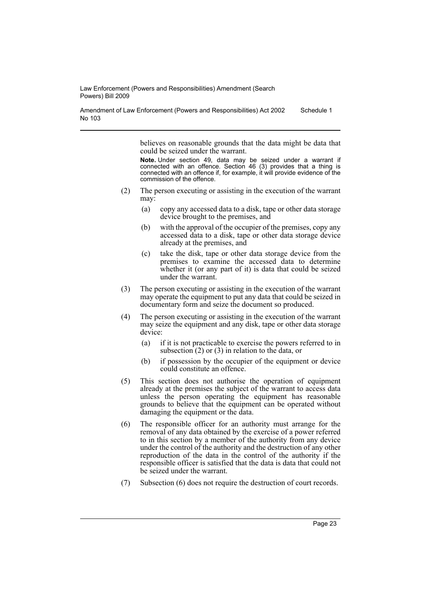Amendment of Law Enforcement (Powers and Responsibilities) Act 2002 No 103 Schedule 1

> believes on reasonable grounds that the data might be data that could be seized under the warrant.

> **Note.** Under section 49, data may be seized under a warrant if connected with an offence. Section 46 (3) provides that a thing is connected with an offence if, for example, it will provide evidence of the commission of the offence.

- (2) The person executing or assisting in the execution of the warrant may:
	- (a) copy any accessed data to a disk, tape or other data storage device brought to the premises, and
	- (b) with the approval of the occupier of the premises, copy any accessed data to a disk, tape or other data storage device already at the premises, and
	- (c) take the disk, tape or other data storage device from the premises to examine the accessed data to determine whether it (or any part of it) is data that could be seized under the warrant.
- (3) The person executing or assisting in the execution of the warrant may operate the equipment to put any data that could be seized in documentary form and seize the document so produced.
- (4) The person executing or assisting in the execution of the warrant may seize the equipment and any disk, tape or other data storage device:
	- (a) if it is not practicable to exercise the powers referred to in subsection  $(2)$  or  $(3)$  in relation to the data, or
	- (b) if possession by the occupier of the equipment or device could constitute an offence.
- (5) This section does not authorise the operation of equipment already at the premises the subject of the warrant to access data unless the person operating the equipment has reasonable grounds to believe that the equipment can be operated without damaging the equipment or the data.
- (6) The responsible officer for an authority must arrange for the removal of any data obtained by the exercise of a power referred to in this section by a member of the authority from any device under the control of the authority and the destruction of any other reproduction of the data in the control of the authority if the responsible officer is satisfied that the data is data that could not be seized under the warrant.
- (7) Subsection (6) does not require the destruction of court records.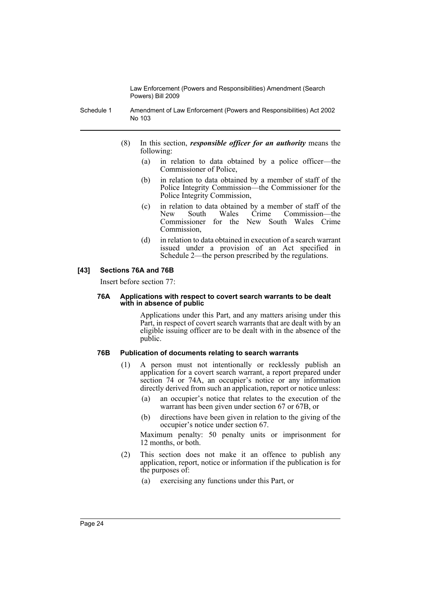Schedule 1 Amendment of Law Enforcement (Powers and Responsibilities) Act 2002 No 103

- (8) In this section, *responsible officer for an authority* means the following:
	- (a) in relation to data obtained by a police officer—the Commissioner of Police,
	- (b) in relation to data obtained by a member of staff of the Police Integrity Commission—the Commissioner for the Police Integrity Commission,
	- (c) in relation to data obtained by a member of staff of the New South Wales Crime Commission—the Commissioner for the New South Wales Crime Commission,
	- (d) in relation to data obtained in execution of a search warrant issued under a provision of an Act specified in Schedule 2—the person prescribed by the regulations.

# **[43] Sections 76A and 76B**

Insert before section 77:

#### **76A Applications with respect to covert search warrants to be dealt with in absence of public**

Applications under this Part, and any matters arising under this Part, in respect of covert search warrants that are dealt with by an eligible issuing officer are to be dealt with in the absence of the public.

# **76B Publication of documents relating to search warrants**

- (1) A person must not intentionally or recklessly publish an application for a covert search warrant, a report prepared under section 74 or 74A, an occupier's notice or any information directly derived from such an application, report or notice unless:
	- (a) an occupier's notice that relates to the execution of the warrant has been given under section 67 or 67B, or
	- (b) directions have been given in relation to the giving of the occupier's notice under section 67.

Maximum penalty: 50 penalty units or imprisonment for 12 months, or both.

- (2) This section does not make it an offence to publish any application, report, notice or information if the publication is for the purposes of:
	- (a) exercising any functions under this Part, or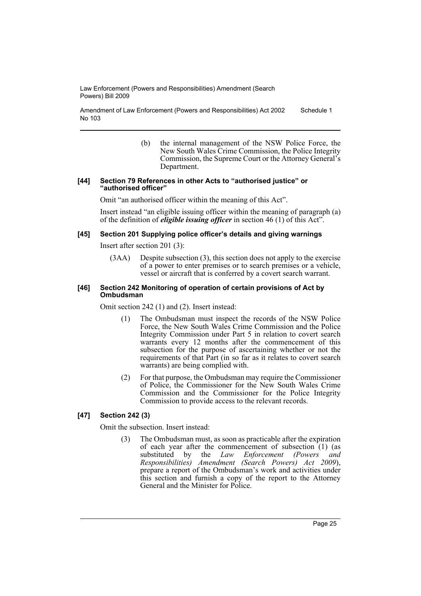Amendment of Law Enforcement (Powers and Responsibilities) Act 2002 No 103 Schedule 1

> (b) the internal management of the NSW Police Force, the New South Wales Crime Commission, the Police Integrity Commission, the Supreme Court or the Attorney General's Department.

#### **[44] Section 79 References in other Acts to "authorised justice" or "authorised officer"**

Omit "an authorised officer within the meaning of this Act".

Insert instead "an eligible issuing officer within the meaning of paragraph (a) of the definition of *eligible issuing officer* in section 46 (1) of this Act".

# **[45] Section 201 Supplying police officer's details and giving warnings**

Insert after section 201 (3):

(3AA) Despite subsection (3), this section does not apply to the exercise of a power to enter premises or to search premises or a vehicle, vessel or aircraft that is conferred by a covert search warrant.

### **[46] Section 242 Monitoring of operation of certain provisions of Act by Ombudsman**

Omit section 242 (1) and (2). Insert instead:

- (1) The Ombudsman must inspect the records of the NSW Police Force, the New South Wales Crime Commission and the Police Integrity Commission under Part 5 in relation to covert search warrants every 12 months after the commencement of this subsection for the purpose of ascertaining whether or not the requirements of that Part (in so far as it relates to covert search warrants) are being complied with.
- (2) For that purpose, the Ombudsman may require the Commissioner of Police, the Commissioner for the New South Wales Crime Commission and the Commissioner for the Police Integrity Commission to provide access to the relevant records.

# **[47] Section 242 (3)**

Omit the subsection. Insert instead:

(3) The Ombudsman must, as soon as practicable after the expiration of each year after the commencement of subsection (1) (as substituted by the *Law Enforcement (Powers and Responsibilities) Amendment (Search Powers) Act 2009*), prepare a report of the Ombudsman's work and activities under this section and furnish a copy of the report to the Attorney General and the Minister for Police.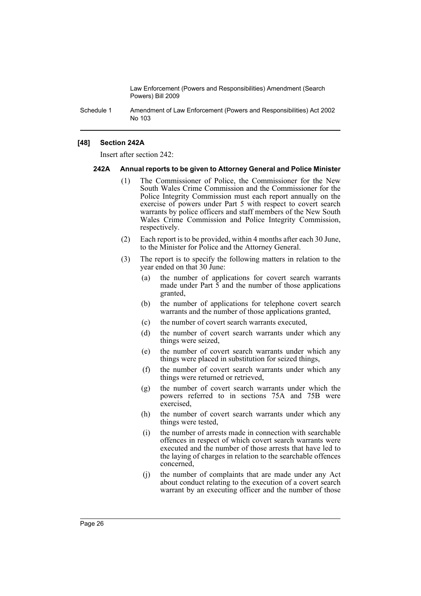Schedule 1 Amendment of Law Enforcement (Powers and Responsibilities) Act 2002 No 103

# **[48] Section 242A**

Insert after section 242:

#### **242A Annual reports to be given to Attorney General and Police Minister**

- (1) The Commissioner of Police, the Commissioner for the New South Wales Crime Commission and the Commissioner for the Police Integrity Commission must each report annually on the exercise of powers under Part 5 with respect to covert search warrants by police officers and staff members of the New South Wales Crime Commission and Police Integrity Commission, respectively.
- (2) Each report is to be provided, within 4 months after each 30 June, to the Minister for Police and the Attorney General.
- (3) The report is to specify the following matters in relation to the year ended on that 30 June:
	- (a) the number of applications for covert search warrants made under Part  $\overline{5}$  and the number of those applications granted,
	- (b) the number of applications for telephone covert search warrants and the number of those applications granted,
	- (c) the number of covert search warrants executed,
	- (d) the number of covert search warrants under which any things were seized,
	- (e) the number of covert search warrants under which any things were placed in substitution for seized things,
	- (f) the number of covert search warrants under which any things were returned or retrieved,
	- (g) the number of covert search warrants under which the powers referred to in sections 75A and 75B were exercised,
	- (h) the number of covert search warrants under which any things were tested,
	- (i) the number of arrests made in connection with searchable offences in respect of which covert search warrants were executed and the number of those arrests that have led to the laying of charges in relation to the searchable offences concerned,
	- (j) the number of complaints that are made under any Act about conduct relating to the execution of a covert search warrant by an executing officer and the number of those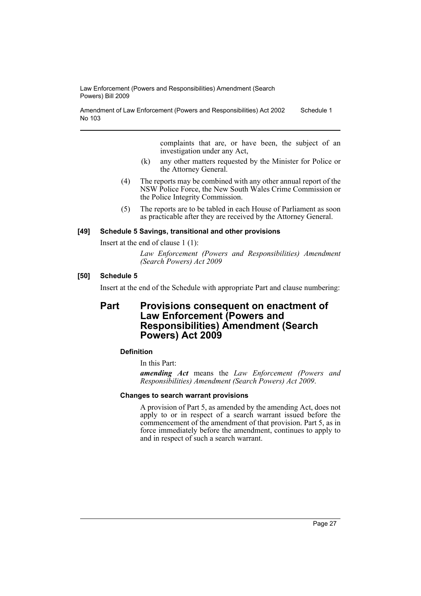Amendment of Law Enforcement (Powers and Responsibilities) Act 2002 No 103 Schedule 1

> complaints that are, or have been, the subject of an investigation under any Act,

- (k) any other matters requested by the Minister for Police or the Attorney General.
- (4) The reports may be combined with any other annual report of the NSW Police Force, the New South Wales Crime Commission or the Police Integrity Commission.
- (5) The reports are to be tabled in each House of Parliament as soon as practicable after they are received by the Attorney General.

### **[49] Schedule 5 Savings, transitional and other provisions**

Insert at the end of clause 1 (1):

*Law Enforcement (Powers and Responsibilities) Amendment (Search Powers) Act 2009*

### **[50] Schedule 5**

Insert at the end of the Schedule with appropriate Part and clause numbering:

# **Part Provisions consequent on enactment of Law Enforcement (Powers and Responsibilities) Amendment (Search Powers) Act 2009**

### **Definition**

In this Part:

*amending Act* means the *Law Enforcement (Powers and Responsibilities) Amendment (Search Powers) Act 2009*.

### **Changes to search warrant provisions**

A provision of Part 5, as amended by the amending Act, does not apply to or in respect of a search warrant issued before the commencement of the amendment of that provision. Part 5, as in force immediately before the amendment, continues to apply to and in respect of such a search warrant.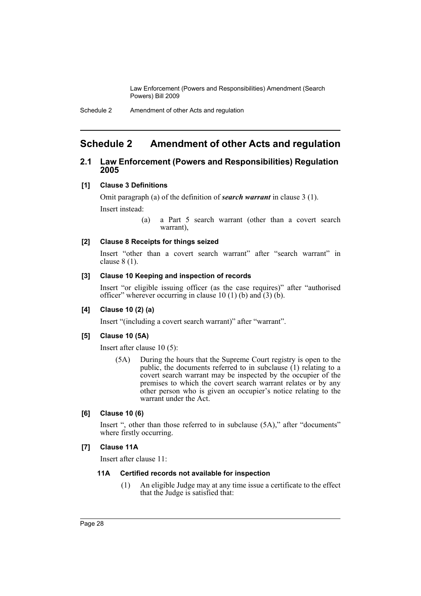# <span id="page-28-0"></span>**Schedule 2 Amendment of other Acts and regulation**

# **2.1 Law Enforcement (Powers and Responsibilities) Regulation 2005**

### **[1] Clause 3 Definitions**

Omit paragraph (a) of the definition of *search warrant* in clause 3 (1).

Insert instead:

(a) a Part 5 search warrant (other than a covert search warrant),

### **[2] Clause 8 Receipts for things seized**

Insert "other than a covert search warrant" after "search warrant" in clause 8 (1).

### **[3] Clause 10 Keeping and inspection of records**

Insert "or eligible issuing officer (as the case requires)" after "authorised officer" wherever occurring in clause 10 (1) (b) and (3) (b).

# **[4] Clause 10 (2) (a)**

Insert "(including a covert search warrant)" after "warrant".

### **[5] Clause 10 (5A)**

Insert after clause 10 (5):

(5A) During the hours that the Supreme Court registry is open to the public, the documents referred to in subclause (1) relating to a covert search warrant may be inspected by the occupier of the premises to which the covert search warrant relates or by any other person who is given an occupier's notice relating to the warrant under the Act.

### **[6] Clause 10 (6)**

Insert ", other than those referred to in subclause (5A)," after "documents" where firstly occurring.

### **[7] Clause 11A**

Insert after clause 11:

### **11A Certified records not available for inspection**

(1) An eligible Judge may at any time issue a certificate to the effect that the Judge is satisfied that: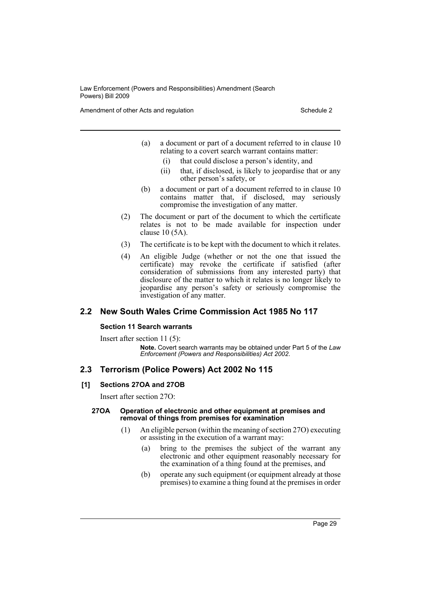Amendment of other Acts and regulation Schedule 2

- (a) a document or part of a document referred to in clause 10 relating to a covert search warrant contains matter:
	- (i) that could disclose a person's identity, and
	- (ii) that, if disclosed, is likely to jeopardise that or any other person's safety, or
- (b) a document or part of a document referred to in clause 10 contains matter that, if disclosed, may seriously compromise the investigation of any matter.
- (2) The document or part of the document to which the certificate relates is not to be made available for inspection under clause 10 (5A).
- (3) The certificate is to be kept with the document to which it relates.
- (4) An eligible Judge (whether or not the one that issued the certificate) may revoke the certificate if satisfied (after consideration of submissions from any interested party) that disclosure of the matter to which it relates is no longer likely to jeopardise any person's safety or seriously compromise the investigation of any matter.

# **2.2 New South Wales Crime Commission Act 1985 No 117**

# **Section 11 Search warrants**

Insert after section 11 (5): **Note.** Covert search warrants may be obtained under Part 5 of the *Law Enforcement (Powers and Responsibilities) Act 2002*.

# **2.3 Terrorism (Police Powers) Act 2002 No 115**

# **[1] Sections 27OA and 27OB**

Insert after section 27O:

#### **27OA Operation of electronic and other equipment at premises and removal of things from premises for examination**

- (1) An eligible person (within the meaning of section 27O) executing or assisting in the execution of a warrant may:
	- (a) bring to the premises the subject of the warrant any electronic and other equipment reasonably necessary for the examination of a thing found at the premises, and
	- (b) operate any such equipment (or equipment already at those premises) to examine a thing found at the premises in order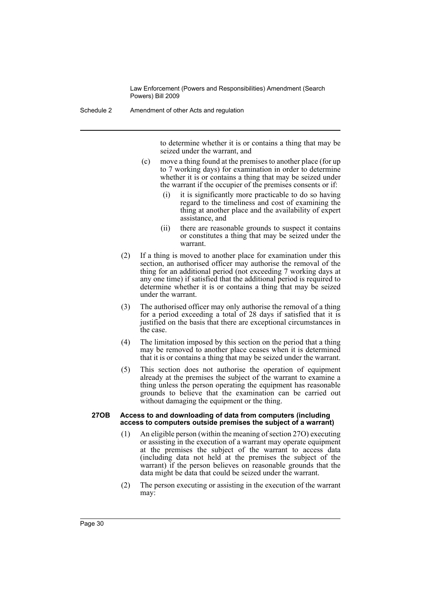Schedule 2 Amendment of other Acts and regulation

to determine whether it is or contains a thing that may be seized under the warrant, and

- (c) move a thing found at the premises to another place (for up to 7 working days) for examination in order to determine whether it is or contains a thing that may be seized under the warrant if the occupier of the premises consents or if:
	- (i) it is significantly more practicable to do so having regard to the timeliness and cost of examining the thing at another place and the availability of expert assistance, and
	- (ii) there are reasonable grounds to suspect it contains or constitutes a thing that may be seized under the warrant.
- (2) If a thing is moved to another place for examination under this section, an authorised officer may authorise the removal of the thing for an additional period (not exceeding 7 working days at any one time) if satisfied that the additional period is required to determine whether it is or contains a thing that may be seized under the warrant.
- (3) The authorised officer may only authorise the removal of a thing for a period exceeding a total of 28 days if satisfied that it is justified on the basis that there are exceptional circumstances in the case.
- (4) The limitation imposed by this section on the period that a thing may be removed to another place ceases when it is determined that it is or contains a thing that may be seized under the warrant.
- (5) This section does not authorise the operation of equipment already at the premises the subject of the warrant to examine a thing unless the person operating the equipment has reasonable grounds to believe that the examination can be carried out without damaging the equipment or the thing.

#### **27OB Access to and downloading of data from computers (including access to computers outside premises the subject of a warrant)**

- (1) An eligible person (within the meaning of section 27O) executing or assisting in the execution of a warrant may operate equipment at the premises the subject of the warrant to access data (including data not held at the premises the subject of the warrant) if the person believes on reasonable grounds that the data might be data that could be seized under the warrant.
- (2) The person executing or assisting in the execution of the warrant may: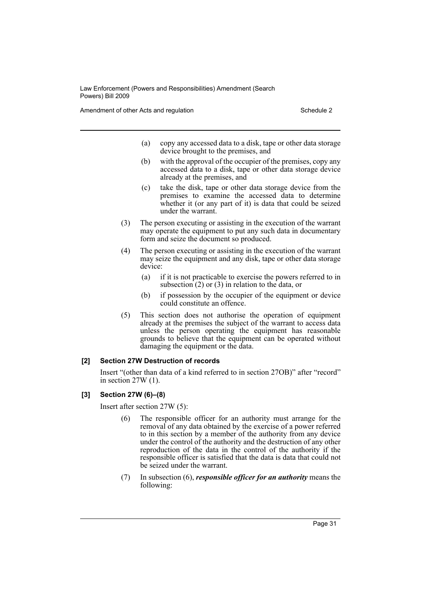Amendment of other Acts and regulation Schedule 2

- (a) copy any accessed data to a disk, tape or other data storage device brought to the premises, and
- (b) with the approval of the occupier of the premises, copy any accessed data to a disk, tape or other data storage device already at the premises, and
- (c) take the disk, tape or other data storage device from the premises to examine the accessed data to determine whether it (or any part of it) is data that could be seized under the warrant.
- (3) The person executing or assisting in the execution of the warrant may operate the equipment to put any such data in documentary form and seize the document so produced.
- (4) The person executing or assisting in the execution of the warrant may seize the equipment and any disk, tape or other data storage device:
	- (a) if it is not practicable to exercise the powers referred to in subsection  $(2)$  or  $(3)$  in relation to the data, or
	- (b) if possession by the occupier of the equipment or device could constitute an offence.
- (5) This section does not authorise the operation of equipment already at the premises the subject of the warrant to access data unless the person operating the equipment has reasonable grounds to believe that the equipment can be operated without damaging the equipment or the data.

### **[2] Section 27W Destruction of records**

Insert "(other than data of a kind referred to in section 27OB)" after "record" in section 27W (1).

# **[3] Section 27W (6)–(8)**

Insert after section 27W (5):

- (6) The responsible officer for an authority must arrange for the removal of any data obtained by the exercise of a power referred to in this section by a member of the authority from any device under the control of the authority and the destruction of any other reproduction of the data in the control of the authority if the responsible officer is satisfied that the data is data that could not be seized under the warrant.
- (7) In subsection (6), *responsible officer for an authority* means the following: